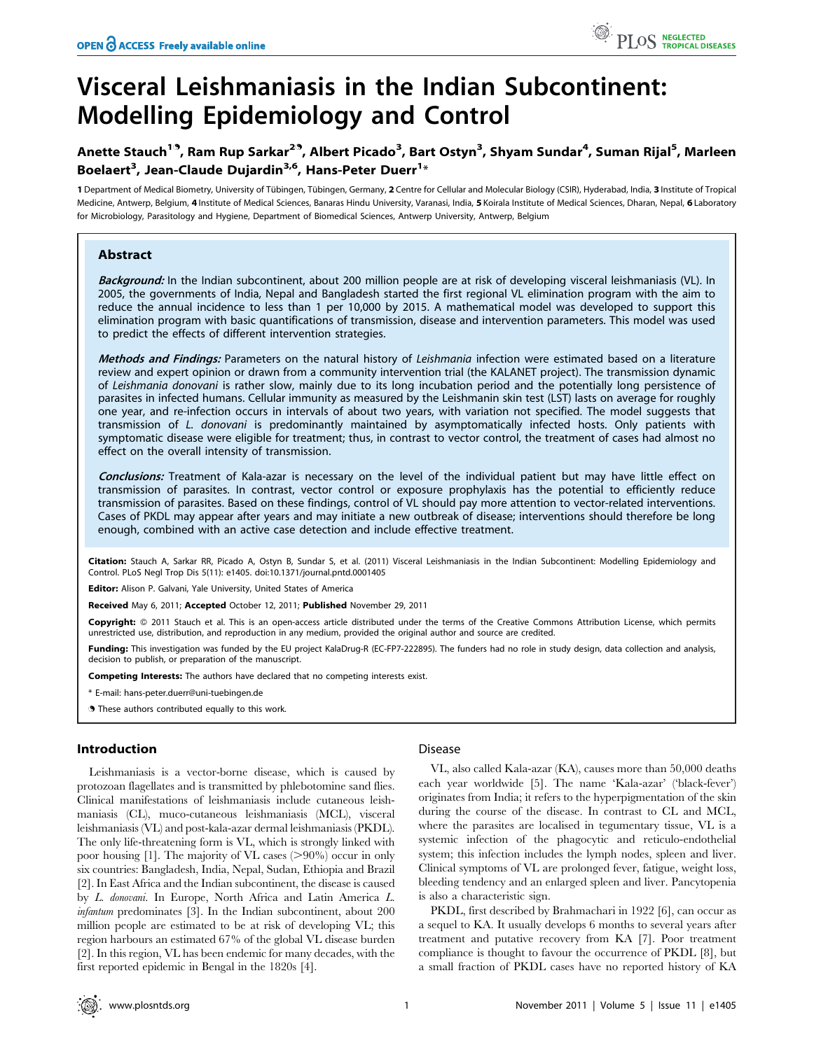# Visceral Leishmaniasis in the Indian Subcontinent: Modelling Epidemiology and Control

# Anette Stauch<sup>19</sup>, Ram Rup Sarkar<sup>29</sup>, Albert Picado<sup>3</sup>, Bart Ostyn<sup>3</sup>, Shyam Sundar<sup>4</sup>, Suman Rijal<sup>5</sup>, Marleen Boelaert<sup>3</sup>, Jean-Claude Dujardin<sup>3,6</sup>, Hans-Peter Duerr<sup>1</sup>\*

1 Department of Medical Biometry, University of Tübingen, Tübingen, Germany, 2 Centre for Cellular and Molecular Biology (CSIR), Hyderabad, India, 3 Institute of Tropical Medicine, Antwerp, Belgium, 4 Institute of Medical Sciences, Banaras Hindu University, Varanasi, India, 5 Koirala Institute of Medical Sciences, Dharan, Nepal, 6 Laboratory for Microbiology, Parasitology and Hygiene, Department of Biomedical Sciences, Antwerp University, Antwerp, Belgium

# Abstract

Background: In the Indian subcontinent, about 200 million people are at risk of developing visceral leishmaniasis (VL). In 2005, the governments of India, Nepal and Bangladesh started the first regional VL elimination program with the aim to reduce the annual incidence to less than 1 per 10,000 by 2015. A mathematical model was developed to support this elimination program with basic quantifications of transmission, disease and intervention parameters. This model was used to predict the effects of different intervention strategies.

Methods and Findings: Parameters on the natural history of Leishmania infection were estimated based on a literature review and expert opinion or drawn from a community intervention trial (the KALANET project). The transmission dynamic of Leishmania donovani is rather slow, mainly due to its long incubation period and the potentially long persistence of parasites in infected humans. Cellular immunity as measured by the Leishmanin skin test (LST) lasts on average for roughly one year, and re-infection occurs in intervals of about two years, with variation not specified. The model suggests that transmission of L. donovani is predominantly maintained by asymptomatically infected hosts. Only patients with symptomatic disease were eligible for treatment; thus, in contrast to vector control, the treatment of cases had almost no effect on the overall intensity of transmission.

Conclusions: Treatment of Kala-azar is necessary on the level of the individual patient but may have little effect on transmission of parasites. In contrast, vector control or exposure prophylaxis has the potential to efficiently reduce transmission of parasites. Based on these findings, control of VL should pay more attention to vector-related interventions. Cases of PKDL may appear after years and may initiate a new outbreak of disease; interventions should therefore be long enough, combined with an active case detection and include effective treatment.

Citation: Stauch A, Sarkar RR, Picado A, Ostyn B, Sundar S, et al. (2011) Visceral Leishmaniasis in the Indian Subcontinent: Modelling Epidemiology and Control. PLoS Negl Trop Dis 5(11): e1405. doi:10.1371/journal.pntd.0001405

Editor: Alison P. Galvani, Yale University, United States of America

Received May 6, 2011; Accepted October 12, 2011; Published November 29, 2011

Copyright: © 2011 Stauch et al. This is an open-access article distributed under the terms of the Creative Commons Attribution License, which permits unrestricted use, distribution, and reproduction in any medium, provided the original author and source are credited.

Funding: This investigation was funded by the EU project KalaDrug-R (EC-FP7-222895). The funders had no role in study design, data collection and analysis, decision to publish, or preparation of the manuscript.

Competing Interests: The authors have declared that no competing interests exist.

E-mail: hans-peter.duerr@uni-tuebingen.de

. These authors contributed equally to this work.

# Introduction

Leishmaniasis is a vector-borne disease, which is caused by protozoan flagellates and is transmitted by phlebotomine sand flies. Clinical manifestations of leishmaniasis include cutaneous leishmaniasis (CL), muco-cutaneous leishmaniasis (MCL), visceral leishmaniasis (VL) and post-kala-azar dermal leishmaniasis (PKDL). The only life-threatening form is VL, which is strongly linked with poor housing  $[1]$ . The majority of VL cases ( $>90\%$ ) occur in only six countries: Bangladesh, India, Nepal, Sudan, Ethiopia and Brazil [2]. In East Africa and the Indian subcontinent, the disease is caused by L. donovani. In Europe, North Africa and Latin America L. infantum predominates [3]. In the Indian subcontinent, about 200 million people are estimated to be at risk of developing VL; this region harbours an estimated 67% of the global VL disease burden [2]. In this region, VL has been endemic for many decades, with the first reported epidemic in Bengal in the 1820s [4].

# Disease

VL, also called Kala-azar (KA), causes more than 50,000 deaths each year worldwide [5]. The name 'Kala-azar' ('black-fever') originates from India; it refers to the hyperpigmentation of the skin during the course of the disease. In contrast to CL and MCL, where the parasites are localised in tegumentary tissue, VL is a systemic infection of the phagocytic and reticulo-endothelial system; this infection includes the lymph nodes, spleen and liver. Clinical symptoms of VL are prolonged fever, fatigue, weight loss, bleeding tendency and an enlarged spleen and liver. Pancytopenia is also a characteristic sign.

PKDL, first described by Brahmachari in 1922 [6], can occur as a sequel to KA. It usually develops 6 months to several years after treatment and putative recovery from KA [7]. Poor treatment compliance is thought to favour the occurrence of PKDL [8], but a small fraction of PKDL cases have no reported history of KA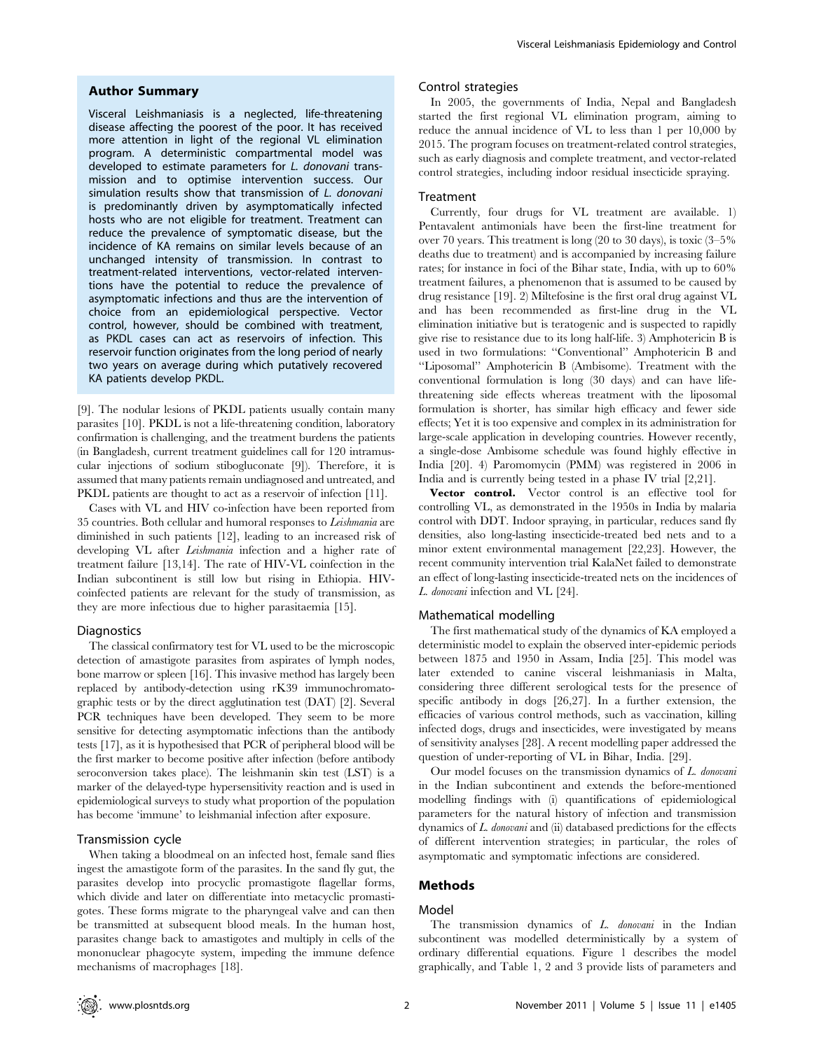#### Author Summary

Visceral Leishmaniasis is a neglected, life-threatening disease affecting the poorest of the poor. It has received more attention in light of the regional VL elimination program. A deterministic compartmental model was developed to estimate parameters for L. donovani transmission and to optimise intervention success. Our simulation results show that transmission of L. donovani is predominantly driven by asymptomatically infected hosts who are not eligible for treatment. Treatment can reduce the prevalence of symptomatic disease, but the incidence of KA remains on similar levels because of an unchanged intensity of transmission. In contrast to treatment-related interventions, vector-related interventions have the potential to reduce the prevalence of asymptomatic infections and thus are the intervention of choice from an epidemiological perspective. Vector control, however, should be combined with treatment, as PKDL cases can act as reservoirs of infection. This reservoir function originates from the long period of nearly two years on average during which putatively recovered KA patients develop PKDL.

[9]. The nodular lesions of PKDL patients usually contain many parasites [10]. PKDL is not a life-threatening condition, laboratory confirmation is challenging, and the treatment burdens the patients (in Bangladesh, current treatment guidelines call for 120 intramuscular injections of sodium stibogluconate [9]). Therefore, it is assumed that many patients remain undiagnosed and untreated, and PKDL patients are thought to act as a reservoir of infection [11].

Cases with VL and HIV co-infection have been reported from 35 countries. Both cellular and humoral responses to Leishmania are diminished in such patients [12], leading to an increased risk of developing VL after Leishmania infection and a higher rate of treatment failure [13,14]. The rate of HIV-VL coinfection in the Indian subcontinent is still low but rising in Ethiopia. HIVcoinfected patients are relevant for the study of transmission, as they are more infectious due to higher parasitaemia [15].

#### Diagnostics

The classical confirmatory test for VL used to be the microscopic detection of amastigote parasites from aspirates of lymph nodes, bone marrow or spleen [16]. This invasive method has largely been replaced by antibody-detection using rK39 immunochromatographic tests or by the direct agglutination test (DAT) [2]. Several PCR techniques have been developed. They seem to be more sensitive for detecting asymptomatic infections than the antibody tests [17], as it is hypothesised that PCR of peripheral blood will be the first marker to become positive after infection (before antibody seroconversion takes place). The leishmanin skin test (LST) is a marker of the delayed-type hypersensitivity reaction and is used in epidemiological surveys to study what proportion of the population has become 'immune' to leishmanial infection after exposure.

#### Transmission cycle

When taking a bloodmeal on an infected host, female sand flies ingest the amastigote form of the parasites. In the sand fly gut, the parasites develop into procyclic promastigote flagellar forms, which divide and later on differentiate into metacyclic promastigotes. These forms migrate to the pharyngeal valve and can then be transmitted at subsequent blood meals. In the human host, parasites change back to amastigotes and multiply in cells of the mononuclear phagocyte system, impeding the immune defence mechanisms of macrophages [18].

#### Control strategies

In 2005, the governments of India, Nepal and Bangladesh started the first regional VL elimination program, aiming to reduce the annual incidence of VL to less than 1 per 10,000 by 2015. The program focuses on treatment-related control strategies, such as early diagnosis and complete treatment, and vector-related control strategies, including indoor residual insecticide spraying.

#### Treatment

Currently, four drugs for VL treatment are available. 1) Pentavalent antimonials have been the first-line treatment for over 70 years. This treatment is long (20 to 30 days), is toxic (3–5% deaths due to treatment) and is accompanied by increasing failure rates; for instance in foci of the Bihar state, India, with up to 60% treatment failures, a phenomenon that is assumed to be caused by drug resistance [19]. 2) Miltefosine is the first oral drug against VL and has been recommended as first-line drug in the VL elimination initiative but is teratogenic and is suspected to rapidly give rise to resistance due to its long half-life. 3) Amphotericin B is used in two formulations: ''Conventional'' Amphotericin B and ''Liposomal'' Amphotericin B (Ambisome). Treatment with the conventional formulation is long (30 days) and can have lifethreatening side effects whereas treatment with the liposomal formulation is shorter, has similar high efficacy and fewer side effects; Yet it is too expensive and complex in its administration for large-scale application in developing countries. However recently, a single-dose Ambisome schedule was found highly effective in India [20]. 4) Paromomycin (PMM) was registered in 2006 in India and is currently being tested in a phase IV trial [2,21].

Vector control. Vector control is an effective tool for controlling VL, as demonstrated in the 1950s in India by malaria control with DDT. Indoor spraying, in particular, reduces sand fly densities, also long-lasting insecticide-treated bed nets and to a minor extent environmental management [22,23]. However, the recent community intervention trial KalaNet failed to demonstrate an effect of long-lasting insecticide-treated nets on the incidences of L. donovani infection and VL [24].

# Mathematical modelling

The first mathematical study of the dynamics of KA employed a deterministic model to explain the observed inter-epidemic periods between 1875 and 1950 in Assam, India [25]. This model was later extended to canine visceral leishmaniasis in Malta, considering three different serological tests for the presence of specific antibody in dogs [26,27]. In a further extension, the efficacies of various control methods, such as vaccination, killing infected dogs, drugs and insecticides, were investigated by means of sensitivity analyses [28]. A recent modelling paper addressed the question of under-reporting of VL in Bihar, India. [29].

Our model focuses on the transmission dynamics of L. donovani in the Indian subcontinent and extends the before-mentioned modelling findings with (i) quantifications of epidemiological parameters for the natural history of infection and transmission dynamics of L. donovani and (ii) databased predictions for the effects of different intervention strategies; in particular, the roles of asymptomatic and symptomatic infections are considered.

# Methods

#### Model

The transmission dynamics of L. donovani in the Indian subcontinent was modelled deterministically by a system of ordinary differential equations. Figure 1 describes the model graphically, and Table 1, 2 and 3 provide lists of parameters and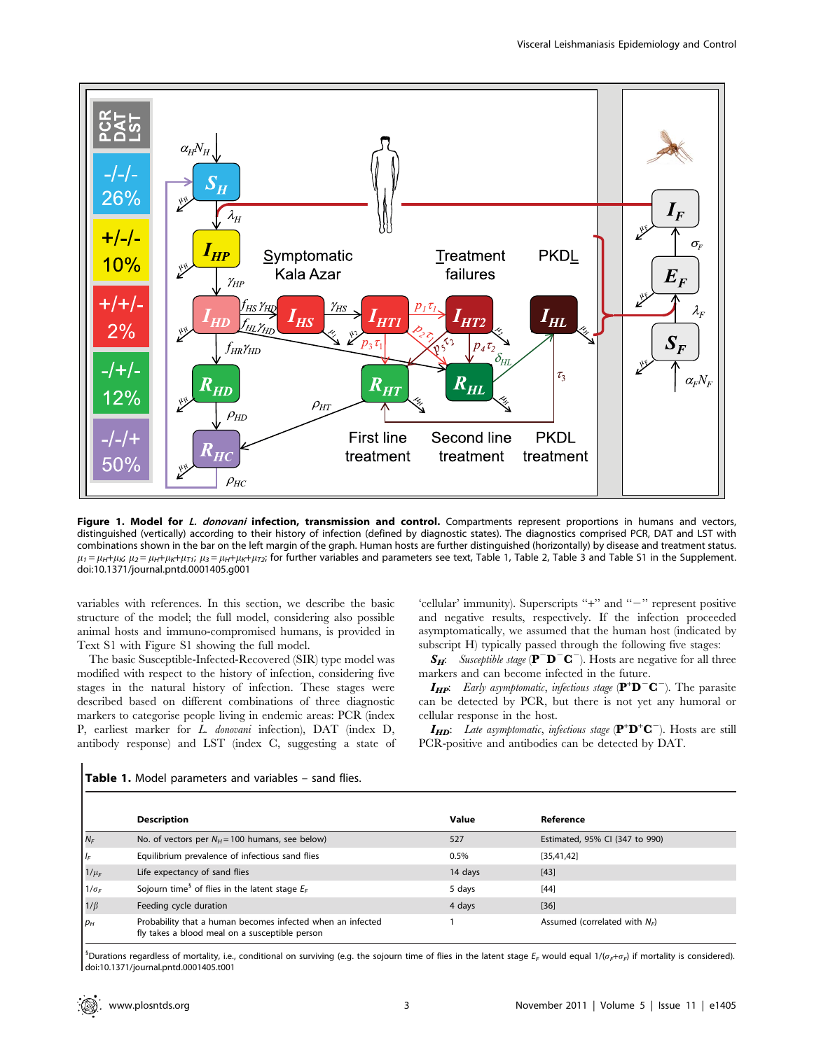

Figure 1. Model for L. donovani infection, transmission and control. Compartments represent proportions in humans and vectors, distinguished (vertically) according to their history of infection (defined by diagnostic states). The diagnostics comprised PCR, DAT and LST with combinations shown in the bar on the left margin of the graph. Human hosts are further distinguished (horizontally) by disease and treatment status.  $\mu_1 = \mu_H + \mu_K$ ;  $\mu_2 = \mu_H + \mu_K + \mu_{Ti}$ ;  $\mu_3 = \mu_H + \mu_K + \mu_{Ti}$ ; for further variables and parameters see text, Table 1, Table 2, Table 3 and Table S1 in the Supplement. doi:10.1371/journal.pntd.0001405.g001

variables with references. In this section, we describe the basic structure of the model; the full model, considering also possible animal hosts and immuno-compromised humans, is provided in Text S1 with Figure S1 showing the full model.

The basic Susceptible-Infected-Recovered (SIR) type model was modified with respect to the history of infection, considering five stages in the natural history of infection. These stages were described based on different combinations of three diagnostic markers to categorise people living in endemic areas: PCR (index P, earliest marker for L. donovani infection), DAT (index D, antibody response) and LST (index C, suggesting a state of

'cellular' immunity). Superscripts "+" and "-" represent positive and negative results, respectively. If the infection proceeded asymptomatically, we assumed that the human host (indicated by subscript H) typically passed through the following five stages:

 $S_H$ : Susceptible stage ( $\mathbf{P}^{\top} \mathbf{D}^{\top} \mathbf{C}^{-}$ ). Hosts are negative for all three markers and can become infected in the future.

 $I_{HP}$ : Early asymptomatic, infectious stage  $(P^{\dagger}D^{-}C^{-})$ . The parasite can be detected by PCR, but there is not yet any humoral or cellular response in the host.

 $I_{HD}$ : Late asymptomatic, infectious stage  $(P^+D^+C^-)$ . Hosts are still PCR-positive and antibodies can be detected by DAT.

|              | <b>Description</b>                                                                                           | Value   | Reference                        |
|--------------|--------------------------------------------------------------------------------------------------------------|---------|----------------------------------|
| $N_F$        | No. of vectors per $N_H$ = 100 humans, see below)                                                            | 527     | Estimated, 95% CI (347 to 990)   |
| $I_F$        | Equilibrium prevalence of infectious sand flies                                                              | 0.5%    | [35, 41, 42]                     |
| $1/\mu_F$    | Life expectancy of sand flies                                                                                | 14 days | $[43]$                           |
| $1/\sigma_F$ | Sojourn time <sup>§</sup> of flies in the latent stage $E_F$                                                 | 5 days  | $[44]$                           |
| $1/\beta$    | Feeding cycle duration                                                                                       | 4 days  | $[36]$                           |
| $p_H$        | Probability that a human becomes infected when an infected<br>fly takes a blood meal on a susceptible person |         | Assumed (correlated with $N_F$ ) |

Table 1. Model parameters and variables - sand flies.

<sup>5</sup>Durations regardless of mortality, i.e., conditional on surviving (e.g. the sojourn time of flies in the latent stage  $E_F$  would equal 1/( $\sigma_F$ + $\sigma_F$ ) if mortality is considered). doi:10.1371/journal.pntd.0001405.t001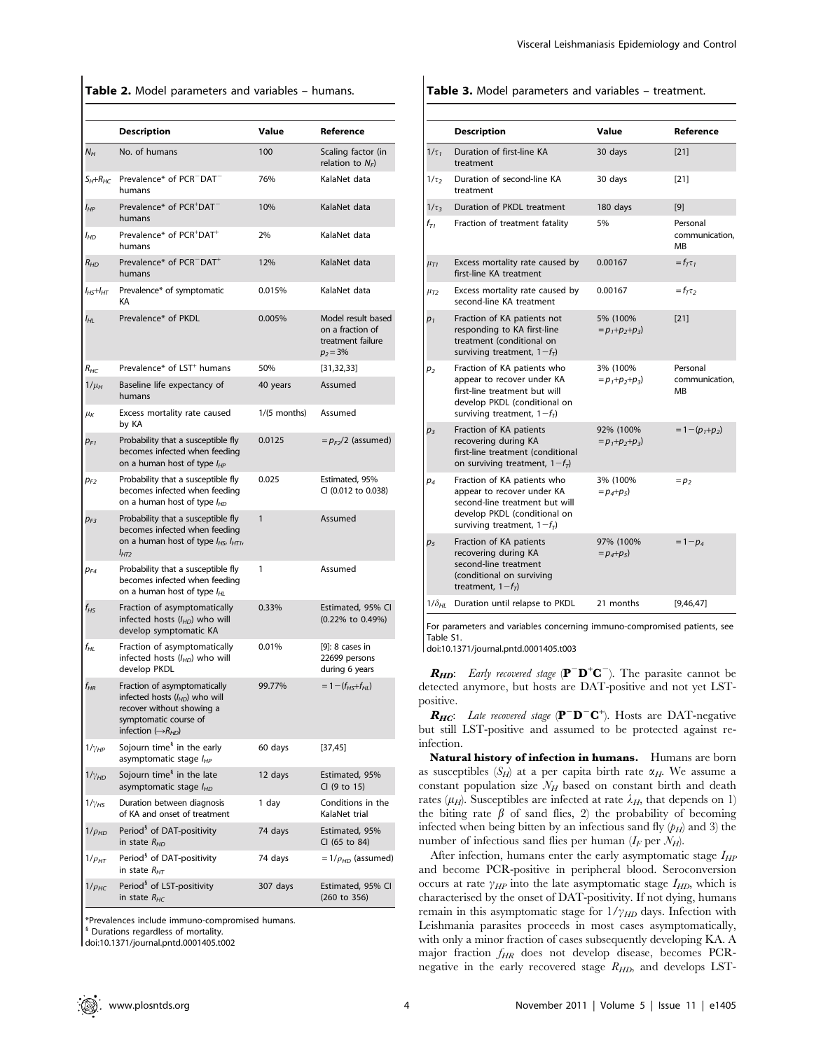Table 2. Model parameters and variables - humans.

|                     | <b>Description</b>                                                                                                                                           | Value          | Reference                                                                  |
|---------------------|--------------------------------------------------------------------------------------------------------------------------------------------------------------|----------------|----------------------------------------------------------------------------|
| $N_H$               | No. of humans                                                                                                                                                | 100            | Scaling factor (in<br>relation to $N_F$ )                                  |
| $S_H + R_{HC}$      | Prevalence* of PCR <sup>-</sup> DAT <sup>-</sup><br>humans                                                                                                   | 76%            | KalaNet data                                                               |
| I <sub>НР</sub>     | Prevalence* of PCR <sup>+</sup> DAT<br>humans                                                                                                                | 10%            | KalaNet data                                                               |
| I <sub>HD</sub>     | Prevalence* of PCR <sup>+</sup> DAT <sup>+</sup><br>humans                                                                                                   | 2%             | KalaNet data                                                               |
| $R_{HD}$            | Prevalence* of PCR <sup>-</sup> DAT <sup>+</sup><br>humans                                                                                                   | 12%            | KalaNet data                                                               |
| $l_{H5}$ + $l_{HT}$ | Prevalence* of symptomatic<br>КA                                                                                                                             | 0.015%         | KalaNet data                                                               |
| I <sub>НL</sub>     | Prevalence* of PKDL                                                                                                                                          | 0.005%         | Model result based<br>on a fraction of<br>treatment failure<br>$p_2 = 3\%$ |
| $R_{HC}$            | Prevalence* of LST <sup>+</sup> humans                                                                                                                       | 50%            | [31, 32, 33]                                                               |
| $1/\mu_H$           | Baseline life expectancy of<br>humans                                                                                                                        | 40 years       | Assumed                                                                    |
| $\mu_K$             | Excess mortality rate caused<br>by KA                                                                                                                        | $1/(5$ months) | Assumed                                                                    |
| $p_{F1}$            | Probability that a susceptible fly<br>becomes infected when feeding<br>on a human host of type $I_{HP}$                                                      | 0.0125         | $=p_{F2}/2$ (assumed)                                                      |
| $p_{F2}$            | Probability that a susceptible fly<br>becomes infected when feeding<br>on a human host of type l <sub>HD</sub>                                               | 0.025          | Estimated, 95%<br>CI (0.012 to 0.038)                                      |
| $p_{F3}$            | Probability that a susceptible fly<br>becomes infected when feeding<br>on a human host of type $I_{H5}$ , $I_{H71}$ ,<br>Інтэ                                | 1              | Assumed                                                                    |
| $p_{FA}$            | Probability that a susceptible fly<br>becomes infected when feeding<br>on a human host of type I <sub>HL</sub>                                               | 1              | Assumed                                                                    |
| f <sub>нs</sub>     | Fraction of asymptomatically<br>infected hosts $(l_{HD})$ who will<br>develop symptomatic KA                                                                 | 0.33%          | Estimated, 95% CI<br>(0.22% to 0.49%)                                      |
| f <sub>НL</sub>     | Fraction of asymptomatically<br>infected hosts $(l_{HD})$ who will<br>develop PKDL                                                                           | 0.01%          | [9]: 8 cases in<br>22699 persons<br>during 6 years                         |
| $f_{HR}$            | Fraction of asymptomatically<br>infected hosts $(l_{HD})$ who will<br>recover without showing a<br>symptomatic course of<br>infection $(\rightarrow R_{HD})$ | 99.77%         | $= 1 - (f_{H5} + f_{H1})$                                                  |
| $1/\gamma_{HP}$     | Sojourn time <sup>§</sup> in the early<br>asymptomatic stage $I_{HP}$                                                                                        | 60 days        | [37, 45]                                                                   |
| $1/\gamma_{HD}$     | Sojourn time <sup>§</sup> in the late<br>asymptomatic stage I <sub>HD</sub>                                                                                  | 12 days        | Estimated, 95%<br>CI (9 to 15)                                             |
| $1/\gamma_{HS}$     | Duration between diagnosis<br>of KA and onset of treatment                                                                                                   | 1 day          | Conditions in the<br>KalaNet trial                                         |
| $1/\rho_{HD}$       | Period <sup>§</sup> of DAT-positivity<br>in state $R_{HD}$                                                                                                   | 74 days        | Estimated, 95%<br>CI (65 to 84)                                            |
| $1/\rho_{HT}$       | Period <sup>§</sup> of DAT-positivity<br>in state $R_{HT}$                                                                                                   | 74 days        | $=1/\rho_{HD}$ (assumed)                                                   |
| $1/\rho$ нс         | Period <sup>§</sup> of LST-positivity<br>in state $R_{HC}$                                                                                                   | 307 days       | Estimated, 95% CI<br>(260 to 356)                                          |
|                     |                                                                                                                                                              |                |                                                                            |

\*Prevalences include immuno-compromised humans.

<sup>i</sup> Durations regardless of mortality.

doi:10.1371/journal.pntd.0001405.t002

Table 3. Model parameters and variables - treatment.

|                      | <b>Description</b>                                                                                                                                           | Value                            | Reference                        |
|----------------------|--------------------------------------------------------------------------------------------------------------------------------------------------------------|----------------------------------|----------------------------------|
| $1/\tau_1$           | Duration of first-line KA<br>treatment                                                                                                                       | 30 days                          | $[21]$                           |
| $1/\tau$             | Duration of second-line KA<br>treatment                                                                                                                      | 30 days                          | $[21]$                           |
| $1/\tau$             | Duration of PKDL treatment                                                                                                                                   | 180 days                         | [9]                              |
| $f_{T1}$             | Fraction of treatment fatality                                                                                                                               | 5%                               | Personal<br>communication.<br>MB |
| $\mu_{\overline{I}}$ | Excess mortality rate caused by<br>first-line KA treatment                                                                                                   | 0.00167                          | $=f_{\tau}\tau$                  |
| $\mu_{T2}$           | Excess mortality rate caused by<br>second-line KA treatment                                                                                                  | 0.00167                          | $=f_{\tau}\tau$                  |
| $p_1$                | Fraction of KA patients not<br>responding to KA first-line<br>treatment (conditional on<br>surviving treatment, $1-fT$ )                                     | 5% (100%<br>$= p_1 + p_2 + p_3$  | [21]                             |
| p <sub>2</sub>       | Fraction of KA patients who<br>appear to recover under KA<br>first-line treatment but will<br>develop PKDL (conditional on<br>surviving treatment, $1-f_T$ ) | 3% (100%<br>$= p_1 + p_2 + p_3$  | Personal<br>communication.<br>MB |
| $p_3$                | Fraction of KA patients<br>recovering during KA<br>first-line treatment (conditional<br>on surviving treatment, $1-fT$ )                                     | 92% (100%<br>$= p_1 + p_2 + p_3$ | $= 1 - (p_1 + p_2)$              |
| $p_4$                | Fraction of KA patients who<br>appear to recover under KA<br>second-line treatment but will<br>develop PKDL (conditional on<br>surviving treatment, $1-fT$ ) | 3% (100%<br>$= p_4 + p_5$        | $=p2$                            |
| p <sub>5</sub>       | Fraction of KA patients<br>recovering during KA<br>second-line treatment<br>(conditional on surviving<br>treatment, $1-fT$ )                                 | 97% (100%<br>$= p_4 + p_5$       | $= 1-p_4$                        |
| 1/ $\delta_{\rm HI}$ | Duration until relapse to PKDL                                                                                                                               | 21 months                        | [9,46,47]                        |

For parameters and variables concerning immuno-compromised patients, see Table S1.

doi:10.1371/journal.pntd.0001405.t003

 $R_{HD}$ : *Early recovered stage* ( $\mathbf{P}^-\mathbf{D}^+\mathbf{C}^-$ ). The parasite cannot be detected anymore, but hosts are DAT-positive and not yet LSTpositive.

 $R_{HC}$ : Late recovered stage ( $\mathbf{P}^{\top} \mathbf{D}^{\top} \mathbf{C}^{\dagger}$ ). Hosts are DAT-negative but still LST-positive and assumed to be protected against reinfection.

Natural history of infection in humans. Humans are born as susceptibles  $(S_H)$  at a per capita birth rate  $\alpha_H$ . We assume a constant population size  $\mathcal{N}_H$  based on constant birth and death rates ( $\mu$ <sub>H</sub>). Susceptibles are infected at rate  $\lambda$ <sub>H</sub>, that depends on 1) the biting rate  $\beta$  of sand flies, 2) the probability of becoming infected when being bitten by an infectious sand fly  $(p_H)$  and 3) the number of infectious sand flies per human  $(I_F$  per  $\mathcal{N}_H$ ).

After infection, humans enter the early asymptomatic stage  $I_{HP}$ and become PCR-positive in peripheral blood. Seroconversion occurs at rate  $\gamma_{HP}$  into the late asymptomatic stage  $I_{HD}$ , which is characterised by the onset of DAT-positivity. If not dying, humans remain in this asymptomatic stage for  $1/\gamma_{HD}$  days. Infection with Leishmania parasites proceeds in most cases asymptomatically, with only a minor fraction of cases subsequently developing KA. A major fraction  $f_{HR}$  does not develop disease, becomes PCRnegative in the early recovered stage  $R_{HD}$ , and develops LST-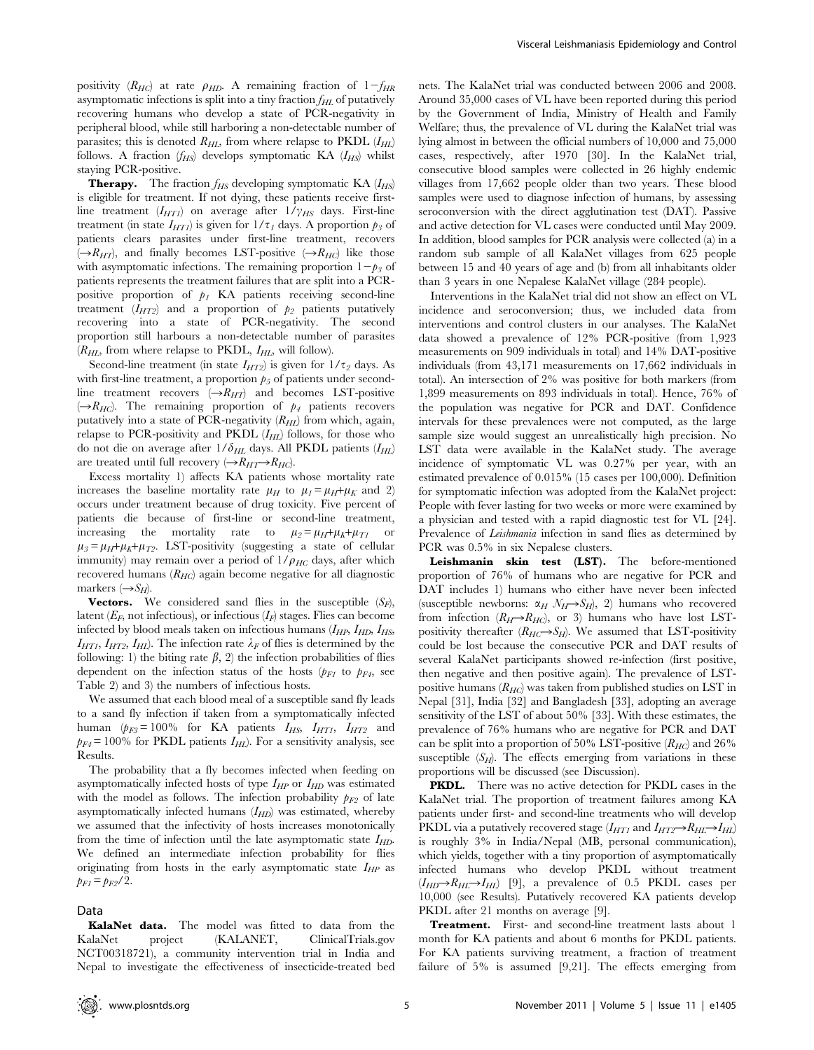positivity  $(R_{HC})$  at rate  $\rho_{HD}$ . A remaining fraction of  $1-f_{HR}$ asymptomatic infections is split into a tiny fraction  $f_{HL}$  of putatively recovering humans who develop a state of PCR-negativity in peripheral blood, while still harboring a non-detectable number of parasites; this is denoted  $R_{HL}$ , from where relapse to PKDL  $(I_{HL})$ follows. A fraction  $(f_{HS})$  develops symptomatic KA  $(I_{HS})$  whilst staying PCR-positive.

**Therapy.** The fraction  $f_{HS}$  developing symptomatic KA  $(I_{HS})$ is eligible for treatment. If not dying, these patients receive firstline treatment  $(I_{HT1})$  on average after  $1/\gamma_{HS}$  days. First-line treatment (in state  $I_{HT1}$ ) is given for  $1/\tau_1$  days. A proportion  $p_3$  of patients clears parasites under first-line treatment, recovers  $(\rightarrow R_{HT})$ , and finally becomes LST-positive  $(\rightarrow R_{HC})$  like those with asymptomatic infections. The remaining proportion  $1-p_3$  of patients represents the treatment failures that are split into a PCRpositive proportion of  $p_I$  KA patients receiving second-line treatment  $(I_{HT2})$  and a proportion of  $p_2$  patients putatively recovering into a state of PCR-negativity. The second proportion still harbours a non-detectable number of parasites  $(R_{HL}$ , from where relapse to PKDL,  $I_{HL}$ , will follow).

Second-line treatment (in state  $I_{HT2}$ ) is given for  $1/\tau_2$  days. As with first-line treatment, a proportion  $p_5$  of patients under secondline treatment recovers  $(\rightarrow R_{HT})$  and becomes LST-positive  $(\rightarrow R_{HC})$ . The remaining proportion of  $p_4$  patients recovers putatively into a state of PCR-negativity  $(R_{HL})$  from which, again, relapse to PCR-positivity and PKDL  $(I_{HL})$  follows, for those who do not die on average after  $1/\delta_{HL}$  days. All PKDL patients  $(I_{HL})$ are treated until full recovery  $(\rightarrow R_{HT}\rightarrow R_{HC})$ .

Excess mortality 1) affects KA patients whose mortality rate increases the baseline mortality rate  $\mu_H$  to  $\mu_I = \mu_H + \mu_K$  and 2) occurs under treatment because of drug toxicity. Five percent of patients die because of first-line or second-line treatment, increasing the mortality rate to  $\mu_2 = \mu_H + \mu_K + \mu_{T1}$  or  $\mu_3 = \mu_H + \mu_K + \mu_{T2}$ . LST-positivity (suggesting a state of cellular immunity) may remain over a period of  $1/\rho_{HC}$  days, after which recovered humans  $(R_{HC})$  again become negative for all diagnostic markers  $(\rightarrow S_H)$ .

**Vectors.** We considered sand flies in the susceptible  $(S_F)$ , latent  $(E_F)$ , not infectious), or infectious  $(I_F)$  stages. Flies can become infected by blood meals taken on infectious humans  $(I_{HP}, I_{HD}, I_{HS}, I_{HS})$  $I_{HT1}$ ,  $I_{HT2}$ ,  $I_{HI}$ ). The infection rate  $\lambda_F$  of flies is determined by the following: 1) the biting rate  $\beta$ , 2) the infection probabilities of flies dependent on the infection status of the hosts  $(p_{FI}$  to  $p_{F4}$ , see Table 2) and 3) the numbers of infectious hosts.

We assumed that each blood meal of a susceptible sand fly leads to a sand fly infection if taken from a symptomatically infected human ( $p_{F3}$ = 100% for KA patients  $I_{HS}$ ,  $I_{HT1}$ ,  $I_{HT2}$  and  $p_{F4}$ = 100% for PKDL patients  $I_{HL}$ ). For a sensitivity analysis, see Results.

The probability that a fly becomes infected when feeding on asymptomatically infected hosts of type  $I_{HP}$  or  $I_{HD}$  was estimated with the model as follows. The infection probability  $p_{F2}$  of late asymptomatically infected humans  $(I_{HD})$  was estimated, whereby we assumed that the infectivity of hosts increases monotonically from the time of infection until the late asymptomatic state  $I_{HD}$ . We defined an intermediate infection probability for flies originating from hosts in the early asymptomatic state  $I_{HP}$  as  $p_{F1} = p_{F2}/2.$ 

#### Data

KalaNet data. The model was fitted to data from the KalaNet project (KALANET, ClinicalTrials.gov NCT00318721), a community intervention trial in India and Nepal to investigate the effectiveness of insecticide-treated bed

nets. The KalaNet trial was conducted between 2006 and 2008. Around 35,000 cases of VL have been reported during this period by the Government of India, Ministry of Health and Family Welfare; thus, the prevalence of VL during the KalaNet trial was lying almost in between the official numbers of 10,000 and 75,000 cases, respectively, after 1970 [30]. In the KalaNet trial, consecutive blood samples were collected in 26 highly endemic villages from 17,662 people older than two years. These blood samples were used to diagnose infection of humans, by assessing seroconversion with the direct agglutination test (DAT). Passive and active detection for VL cases were conducted until May 2009. In addition, blood samples for PCR analysis were collected (a) in a random sub sample of all KalaNet villages from 625 people between 15 and 40 years of age and (b) from all inhabitants older than 3 years in one Nepalese KalaNet village (284 people).

Interventions in the KalaNet trial did not show an effect on VL incidence and seroconversion; thus, we included data from interventions and control clusters in our analyses. The KalaNet data showed a prevalence of 12% PCR-positive (from 1,923 measurements on 909 individuals in total) and 14% DAT-positive individuals (from 43,171 measurements on 17,662 individuals in total). An intersection of 2% was positive for both markers (from 1,899 measurements on 893 individuals in total). Hence, 76% of the population was negative for PCR and DAT. Confidence intervals for these prevalences were not computed, as the large sample size would suggest an unrealistically high precision. No LST data were available in the KalaNet study. The average incidence of symptomatic VL was 0.27% per year, with an estimated prevalence of 0.015% (15 cases per 100,000). Definition for symptomatic infection was adopted from the KalaNet project: People with fever lasting for two weeks or more were examined by a physician and tested with a rapid diagnostic test for VL [24]. Prevalence of *Leishmania* infection in sand flies as determined by PCR was 0.5% in six Nepalese clusters.

Leishmanin skin test (LST). The before-mentioned proportion of 76% of humans who are negative for PCR and DAT includes 1) humans who either have never been infected (susceptible newborns:  $\alpha_H N_H \rightarrow S_H$ ), 2) humans who recovered from infection  $(R_H\rightarrow R_{HC})$ , or 3) humans who have lost LSTpositivity thereafter  $(R_{HC}\rightarrow S_H)$ . We assumed that LST-positivity could be lost because the consecutive PCR and DAT results of several KalaNet participants showed re-infection (first positive, then negative and then positive again). The prevalence of LSTpositive humans  $(R_{HC})$  was taken from published studies on LST in Nepal [31], India [32] and Bangladesh [33], adopting an average sensitivity of the LST of about 50% [33]. With these estimates, the prevalence of 76% humans who are negative for PCR and DAT can be split into a proportion of 50% LST-positive  $(R_{HC})$  and 26% susceptible  $(S_H)$ . The effects emerging from variations in these proportions will be discussed (see Discussion).

PKDL. There was no active detection for PKDL cases in the KalaNet trial. The proportion of treatment failures among KA patients under first- and second-line treatments who will develop PKDL via a putatively recovered stage  $(I_{HT1}$  and  $I_{HT2} \rightarrow R_{HL} \rightarrow I_{HL}$ is roughly 3% in India/Nepal (MB, personal communication), which yields, together with a tiny proportion of asymptomatically infected humans who develop PKDL without treatment  $(I_{HD}\rightarrow R_{HL}\rightarrow I_{HL})$  [9], a prevalence of 0.5 PKDL cases per 10,000 (see Results). Putatively recovered KA patients develop PKDL after 21 months on average [9].

Treatment. First- and second-line treatment lasts about 1 month for KA patients and about 6 months for PKDL patients. For KA patients surviving treatment, a fraction of treatment failure of 5% is assumed [9,21]. The effects emerging from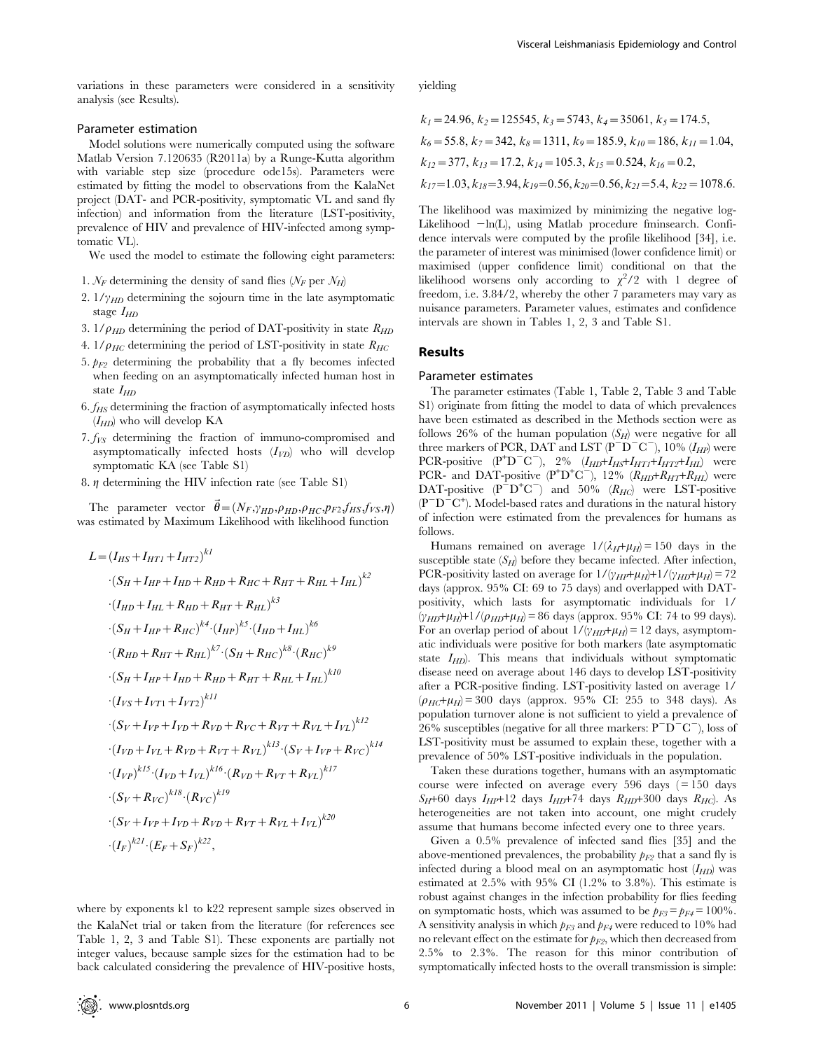variations in these parameters were considered in a sensitivity analysis (see Results).

# Parameter estimation

Model solutions were numerically computed using the software Matlab Version 7.120635 (R2011a) by a Runge-Kutta algorithm with variable step size (procedure ode15s). Parameters were estimated by fitting the model to observations from the KalaNet project (DAT- and PCR-positivity, symptomatic VL and sand fly infection) and information from the literature (LST-positivity, prevalence of HIV and prevalence of HIV-infected among symptomatic VL).

We used the model to estimate the following eight parameters:

- 1.  $N_F$  determining the density of sand flies ( $N_F$  per  $N_H$ )
- 2.  $1/\gamma_{HD}$  determining the sojourn time in the late asymptomatic stage  $I_{HD}$
- 3.  $1/\rho_{HD}$  determining the period of DAT-positivity in state  $R_{HD}$
- 4.  $1/\rho_{HC}$  determining the period of LST-positivity in state  $R_{HC}$
- 5.  $p_{F2}$  determining the probability that a fly becomes infected when feeding on an asymptomatically infected human host in state  $I_{HD}$
- $6.$   $f$ <sub>HS</sub> determining the fraction of asymptomatically infected hosts  $(I_{HD})$  who will develop KA
- 7.  $f_{VS}$  determining the fraction of immuno-compromised and asymptomatically infected hosts  $(I_{VD})$  who will develop symptomatic KA (see Table S1)
- 8.  $\eta$  determining the HIV infection rate (see Table S1)

The parameter vector  $\vec{\theta} = (N_F, \gamma_{HD}, \rho_{HD}, \rho_{HC}, p_{F2}, f_{HS}, f_{VS}, \eta)$ was estimated by Maximum Likelihood with likelihood function

$$
L = (I_{HS} + I_{HT1} + I_{HT2})^{kI}
$$
  
\n
$$
\cdot (S_H + I_{HP} + I_{HD} + R_{HD} + R_{HC} + R_{HT} + R_{HL} + I_{HL})^{k2}
$$
  
\n
$$
\cdot (I_{HD} + I_{HL} + R_{HD} + R_{HT} + R_{HL})^{k3}
$$
  
\n
$$
\cdot (S_H + I_{HP} + R_{HC})^{k4} \cdot (I_{HP})^{k5} \cdot (I_{HD} + I_{HL})^{k6}
$$
  
\n
$$
\cdot (R_{HD} + R_{HT} + R_{HL})^{k7} \cdot (S_H + R_{HC})^{k8} \cdot (R_{HC})^{k9}
$$
  
\n
$$
\cdot (S_H + I_{HP} + I_{HD} + R_{HD} + R_{HT} + R_{HL} + I_{HL})^{k10}
$$
  
\n
$$
\cdot (I_{VS} + I_{VT1} + I_{VT2})^{k11}
$$
  
\n
$$
\cdot (S_V + I_{VP} + I_{VD} + R_{VD} + R_{VC} + R_{VT} + R_{VL} + I_{VL})^{k12}
$$
  
\n
$$
\cdot (I_{VP})^{k15} \cdot (I_{VD} + I_{VL})^{k16} \cdot (R_{VD} + R_{VT} + R_{VL})^{k17}
$$
  
\n
$$
\cdot (S_V + R_{VC})^{k18} \cdot (R_{VC})^{k19}
$$
  
\n
$$
\cdot (S_V + I_{VP} + I_{VD} + R_{VD} + R_{VT} + R_{VL} + I_{VL})^{k20}
$$
  
\n
$$
\cdot (I_{F})^{k21} \cdot (E_{F} + S_{F})^{k22},
$$

where by exponents k1 to k22 represent sample sizes observed in the KalaNet trial or taken from the literature (for references see Table 1, 2, 3 and Table S1). These exponents are partially not integer values, because sample sizes for the estimation had to be back calculated considering the prevalence of HIV-positive hosts,

yielding

$$
k_1 = 24.96, k_2 = 125545, k_3 = 5743, k_4 = 35061, k_5 = 174.5,
$$
  
\n
$$
k_6 = 55.8, k_7 = 342, k_8 = 1311, k_9 = 185.9, k_{10} = 186, k_{11} = 1.04,
$$
  
\n
$$
k_{12} = 377, k_{13} = 17.2, k_{14} = 105.3, k_{15} = 0.524, k_{16} = 0.2,
$$
  
\n
$$
k_{17} = 1.03, k_{18} = 3.94, k_{19} = 0.56, k_{20} = 0.56, k_{21} = 5.4, k_{22} = 1078.6.
$$

The likelihood was maximized by minimizing the negative log-Likelihood  $-\ln(L)$ , using Matlab procedure fminsearch. Confidence intervals were computed by the profile likelihood [34], i.e. the parameter of interest was minimised (lower confidence limit) or maximised (upper confidence limit) conditional on that the likelihood worsens only according to  $\chi^2/2$  with 1 degree of freedom, i.e. 3.84/2, whereby the other 7 parameters may vary as nuisance parameters. Parameter values, estimates and confidence intervals are shown in Tables 1, 2, 3 and Table S1.

#### Results

#### Parameter estimates

The parameter estimates (Table 1, Table 2, Table 3 and Table S1) originate from fitting the model to data of which prevalences have been estimated as described in the Methods section were as follows 26% of the human population  $(S_H)$  were negative for all three markers of PCR, DAT and LST ( $P^-D^-C^-$ ), 10% ( $I_{HP}$ ) were PCR-positive  $(P^+D^-C^-)$ , 2%  $(I_{HD}+I_{H5}+I_{HT1}+I_{HT2}+I_{HL})$  were PCR- and DAT-positive  $(P^+D^+C^-)$ , 12%  $(R_{HD}+R_{HT}+R_{HI})$  were DAT-positive  $(P^{-}D^{+}C^{-})$  and 50%  $(R_{HC})$  were LST-positive  $(P^-D^-\text{C}^+)$ . Model-based rates and durations in the natural history of infection were estimated from the prevalences for humans as follows.

Humans remained on average  $1/(\lambda_H+\mu_H) = 150$  days in the susceptible state  $(S_H)$  before they became infected. After infection, PCR-positivity lasted on average for  $1/(\gamma_{HP}+\mu_H)+1/(\gamma_{HD}+\mu_H) = 72$ days (approx. 95% CI: 69 to 75 days) and overlapped with DATpositivity, which lasts for asymptomatic individuals for 1/  $(\gamma_{HD}+\mu_H)+1/(\rho_{HD}+\mu_H) = 86$  days (approx. 95% CI: 74 to 99 days). For an overlap period of about  $1/(\gamma_{HD}+\mu_H)=12$  days, asymptomatic individuals were positive for both markers (late asymptomatic state  $I_{HD}$ ). This means that individuals without symptomatic disease need on average about 146 days to develop LST-positivity after a PCR-positive finding. LST-positivity lasted on average 1/  $(\rho_{HC}+\mu_H) = 300$  days (approx. 95% CI: 255 to 348 days). As population turnover alone is not sufficient to yield a prevalence of 26% susceptibles (negative for all three markers:  $P^{\dagger}D^{\dagger}C^{\dagger}$ ), loss of LST-positivity must be assumed to explain these, together with a prevalence of 50% LST-positive individuals in the population.

Taken these durations together, humans with an asymptomatic course were infected on average every  $596$  days ( $= 150$  days  $S_H$ +60 days  $I_{HP}$ +12 days  $I_{HD}$ +74 days  $R_{HD}$ +300 days  $R_{HC}$ ). As heterogeneities are not taken into account, one might crudely assume that humans become infected every one to three years.

Given a 0.5% prevalence of infected sand flies [35] and the above-mentioned prevalences, the probability  $p_{F2}$  that a sand fly is infected during a blood meal on an asymptomatic host  $(I_{HD})$  was estimated at 2.5% with 95% CI (1.2% to 3.8%). This estimate is robust against changes in the infection probability for flies feeding on symptomatic hosts, which was assumed to be  $p_{F3} = p_{F4} = 100\%$ . A sensitivity analysis in which  $p_{F3}$  and  $p_{F4}$  were reduced to 10% had no relevant effect on the estimate for  $p_{E2}$ , which then decreased from 2.5% to 2.3%. The reason for this minor contribution of symptomatically infected hosts to the overall transmission is simple: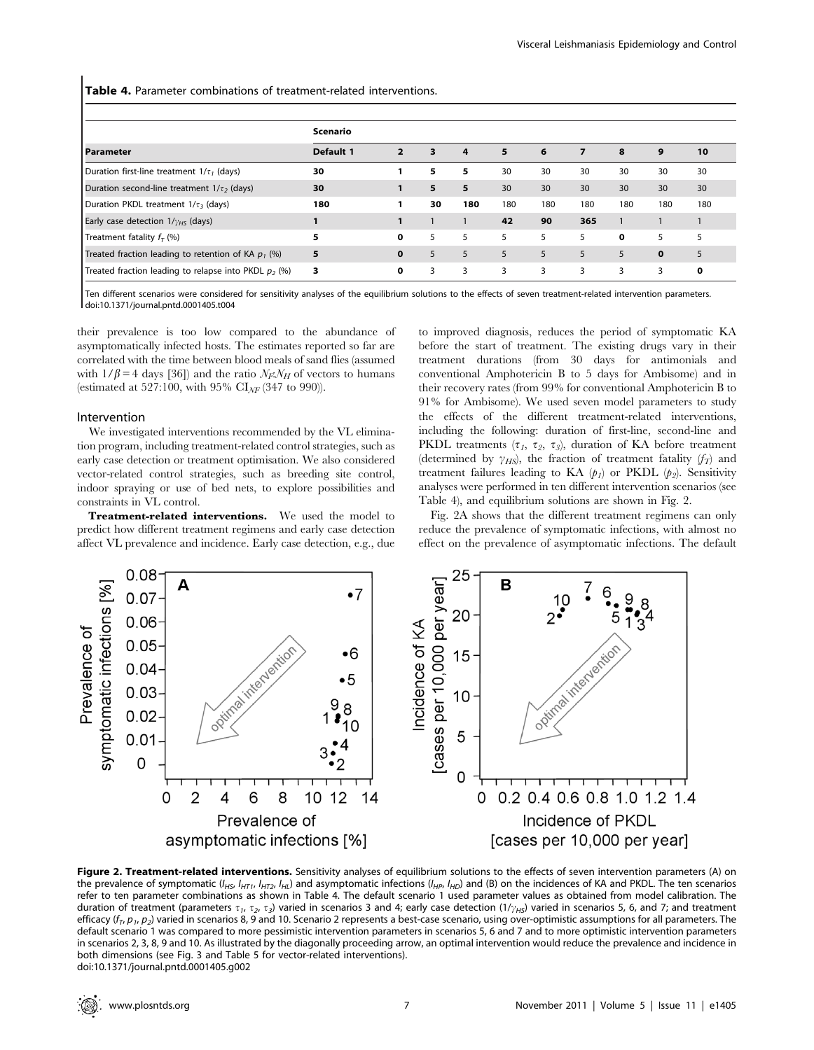Table 4. Parameter combinations of treatment-related interventions.

|                                                         | Scenario         |                |    |                |     |     |     |     |             |     |
|---------------------------------------------------------|------------------|----------------|----|----------------|-----|-----|-----|-----|-------------|-----|
| Parameter                                               | <b>Default 1</b> | $\overline{2}$ | 3  | $\overline{a}$ | 5   | 6   | 7   | 8   | 9           | 10  |
| Duration first-line treatment $1/\tau_1$ (days)         | 30               |                | 5  | 5              | 30  | 30  | 30  | 30  | 30          | 30  |
| Duration second-line treatment $1/\tau$ , (days)        | 30               |                | 5  | 5.             | 30  | 30  | 30  | 30  | 30          | 30  |
| Duration PKDL treatment $1/\tau$ , (days)               | 180              |                | 30 | 180            | 180 | 180 | 180 | 180 | 180         | 180 |
| Early case detection $1/\gamma_{HS}$ (days)             |                  |                |    |                | 42  | 90  | 365 |     |             |     |
| Treatment fatality $fT$ (%)                             | 5                | 0              | 5. | 5              | 5   | 5   | 5   | 0   | 5           | 5   |
| Treated fraction leading to retention of KA $p_1$ (%)   | 5                | $\mathbf 0$    | 5  | 5              | 5   | 5   | 5   | 5   | $\mathbf 0$ | 5   |
| Treated fraction leading to relapse into PKDL $p_2$ (%) | 3                | 0              | 3  | 3              | 3   | 3   | 3   | 3   | 3           | 0   |

Ten different scenarios were considered for sensitivity analyses of the equilibrium solutions to the effects of seven treatment-related intervention parameters. doi:10.1371/journal.pntd.0001405.t004

their prevalence is too low compared to the abundance of asymptomatically infected hosts. The estimates reported so far are correlated with the time between blood meals of sand flies (assumed with  $1/\beta = 4$  days [36]) and the ratio  $\mathcal{N}_F \mathcal{N}_H$  of vectors to humans (estimated at 527:100, with 95%  $CI_{NF}$  (347 to 990)).

#### Intervention

We investigated interventions recommended by the VL elimination program, including treatment-related control strategies, such as early case detection or treatment optimisation. We also considered vector-related control strategies, such as breeding site control, indoor spraying or use of bed nets, to explore possibilities and constraints in VL control.

Treatment-related interventions. We used the model to predict how different treatment regimens and early case detection affect VL prevalence and incidence. Early case detection, e.g., due

to improved diagnosis, reduces the period of symptomatic KA before the start of treatment. The existing drugs vary in their treatment durations (from 30 days for antimonials and conventional Amphotericin B to 5 days for Ambisome) and in their recovery rates (from 99% for conventional Amphotericin B to 91% for Ambisome). We used seven model parameters to study the effects of the different treatment-related interventions, including the following: duration of first-line, second-line and PKDL treatments  $(\tau_1, \tau_2, \tau_3)$ , duration of KA before treatment (determined by  $\gamma$ <sub>HS</sub>), the fraction of treatment fatality ( $f_T$ ) and treatment failures leading to KA  $(p_1)$  or PKDL  $(p_2)$ . Sensitivity analyses were performed in ten different intervention scenarios (see Table 4), and equilibrium solutions are shown in Fig. 2.

Fig. 2A shows that the different treatment regimens can only reduce the prevalence of symptomatic infections, with almost no effect on the prevalence of asymptomatic infections. The default



Figure 2. Treatment-related interventions. Sensitivity analyses of equilibrium solutions to the effects of seven intervention parameters (A) on the prevalence of symptomatic ( $I_{H5}$ ,  $I_{HT1}$ ,  $I_{HT2}$ ,  $I_{HL}$ ) and asymptomatic infections ( $I_{HP}$ ,  $I_{HD}$ ) and (B) on the incidences of KA and PKDL. The ten scenarios refer to ten parameter combinations as shown in Table 4. The default scenario 1 used parameter values as obtained from model calibration. The duration of treatment (parameters  $\tau_1$ ,  $\tau_2$ ,  $\tau_3$ ) varied in scenarios 3 and 4; early case detection (1/ $\gamma_{H5}$ ) varied in scenarios 5, 6, and 7; and treatment efficacy ( $f<sub>T</sub>$ ,  $p<sub>1</sub>$ ,  $p<sub>2</sub>$ ) varied in scenarios 8, 9 and 10. Scenario 2 represents a best-case scenario, using over-optimistic assumptions for all parameters. The default scenario 1 was compared to more pessimistic intervention parameters in scenarios 5, 6 and 7 and to more optimistic intervention parameters in scenarios 2, 3, 8, 9 and 10. As illustrated by the diagonally proceeding arrow, an optimal intervention would reduce the prevalence and incidence in both dimensions (see Fig. 3 and Table 5 for vector-related interventions). doi:10.1371/journal.pntd.0001405.g002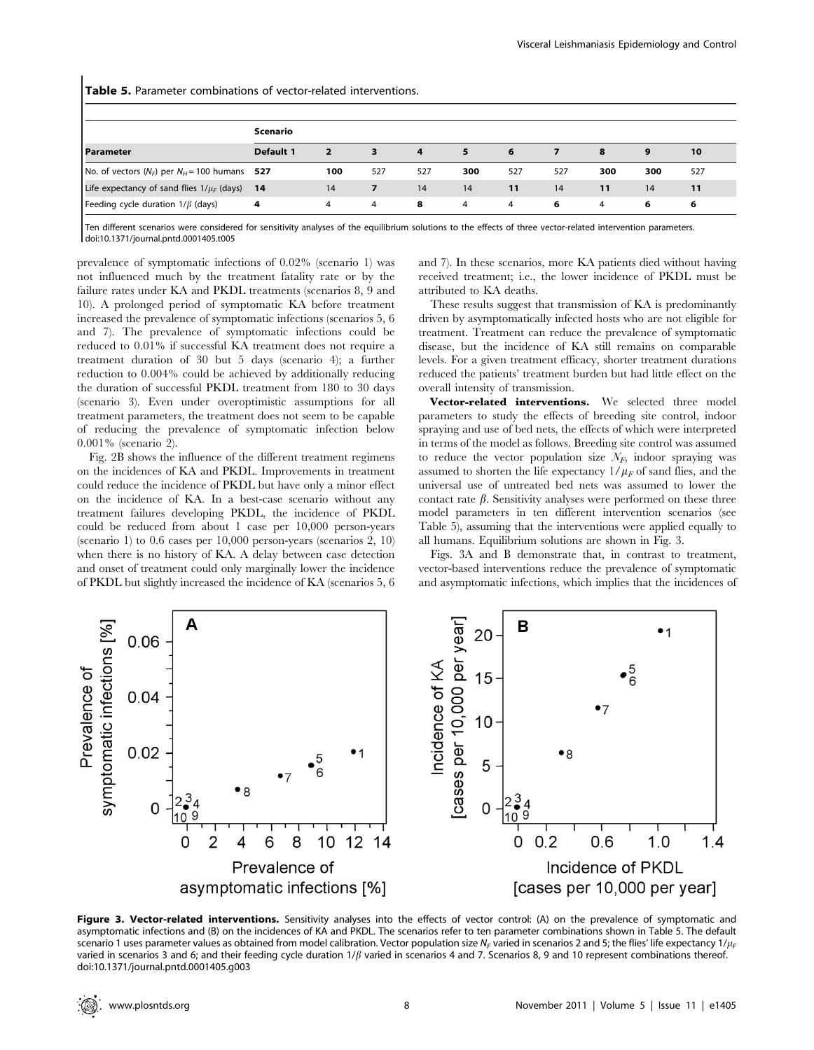Table 5. Parameter combinations of vector-related interventions.

|                                                | Scenario  |              |     |     |                |     |     |     |     |     |
|------------------------------------------------|-----------|--------------|-----|-----|----------------|-----|-----|-----|-----|-----|
| <b>Parameter</b>                               | Default 1 | $\mathbf{2}$ | 3   | 4   | 5.             | 6   |     | 8   | 9   | 10  |
| No. of vectors $(N_F)$ per $N_H$ = 100 humans  | -527      | 100          | 527 | 527 | 300            | 527 | 527 | 300 | 300 | 527 |
| Life expectancy of sand flies $1/\mu_F$ (days) | -14       | 14           | 7   | 14  | 14             | 11  | 14  | 11  | 14  | 11  |
| Feeding cycle duration $1/\beta$ (days)        | 4         | 4            | 4   | 8   | $\overline{4}$ | 4   | 6   | 4   | 6   | 6   |

Ten different scenarios were considered for sensitivity analyses of the equilibrium solutions to the effects of three vector-related intervention parameters. doi:10.1371/journal.pntd.0001405.t005

prevalence of symptomatic infections of 0.02% (scenario 1) was not influenced much by the treatment fatality rate or by the failure rates under KA and PKDL treatments (scenarios 8, 9 and 10). A prolonged period of symptomatic KA before treatment increased the prevalence of symptomatic infections (scenarios 5, 6 and 7). The prevalence of symptomatic infections could be reduced to 0.01% if successful KA treatment does not require a treatment duration of 30 but 5 days (scenario 4); a further reduction to 0.004% could be achieved by additionally reducing the duration of successful PKDL treatment from 180 to 30 days (scenario 3). Even under overoptimistic assumptions for all treatment parameters, the treatment does not seem to be capable of reducing the prevalence of symptomatic infection below 0.001% (scenario 2).

Fig. 2B shows the influence of the different treatment regimens on the incidences of KA and PKDL. Improvements in treatment could reduce the incidence of PKDL but have only a minor effect on the incidence of KA. In a best-case scenario without any treatment failures developing PKDL, the incidence of PKDL could be reduced from about 1 case per 10,000 person-years (scenario 1) to 0.6 cases per 10,000 person-years (scenarios 2, 10) when there is no history of KA. A delay between case detection and onset of treatment could only marginally lower the incidence of PKDL but slightly increased the incidence of KA (scenarios 5, 6

and 7). In these scenarios, more KA patients died without having received treatment; i.e., the lower incidence of PKDL must be attributed to KA deaths.

These results suggest that transmission of KA is predominantly driven by asymptomatically infected hosts who are not eligible for treatment. Treatment can reduce the prevalence of symptomatic disease, but the incidence of KA still remains on comparable levels. For a given treatment efficacy, shorter treatment durations reduced the patients' treatment burden but had little effect on the overall intensity of transmission.

Vector-related interventions. We selected three model parameters to study the effects of breeding site control, indoor spraying and use of bed nets, the effects of which were interpreted in terms of the model as follows. Breeding site control was assumed to reduce the vector population size  $\mathcal{N}_F$ , indoor spraying was assumed to shorten the life expectancy  $1/\mu_F$  of sand flies, and the universal use of untreated bed nets was assumed to lower the contact rate  $\beta$ . Sensitivity analyses were performed on these three model parameters in ten different intervention scenarios (see Table 5), assuming that the interventions were applied equally to all humans. Equilibrium solutions are shown in Fig. 3.

Figs. 3A and B demonstrate that, in contrast to treatment, vector-based interventions reduce the prevalence of symptomatic and asymptomatic infections, which implies that the incidences of



Figure 3. Vector-related interventions. Sensitivity analyses into the effects of vector control: (A) on the prevalence of symptomatic and asymptomatic infections and (B) on the incidences of KA and PKDL. The scenarios refer to ten parameter combinations shown in Table 5. The default scenario 1 uses parameter values as obtained from model calibration. Vector population size  $N_F$  varied in scenarios 2 and 5; the flies' life expectancy  $1/\mu_F$ varied in scenarios 3 and 6; and their feeding cycle duration  $1/\beta$  varied in scenarios 4 and 7. Scenarios 8, 9 and 10 represent combinations thereof. doi:10.1371/journal.pntd.0001405.g003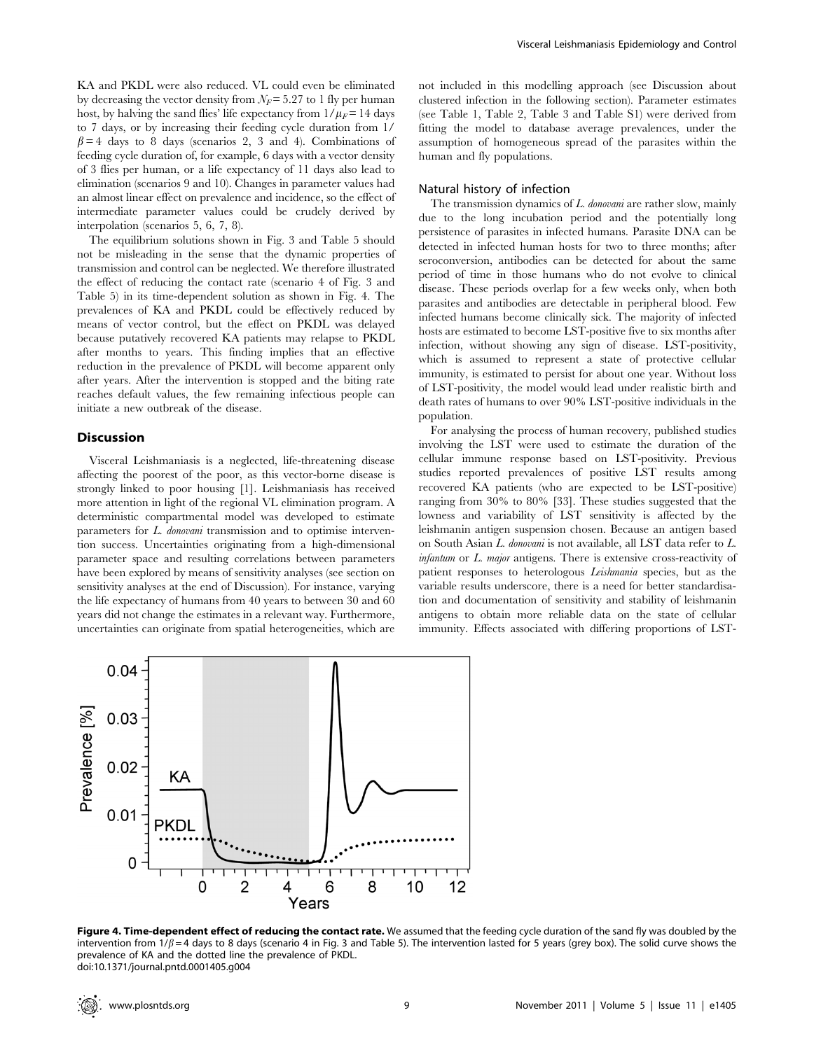KA and PKDL were also reduced. VL could even be eliminated by decreasing the vector density from  $N_F$ = 5.27 to 1 fly per human host, by halving the sand flies' life expectancy from  $1/\mu_F = 14$  days to 7 days, or by increasing their feeding cycle duration from 1/  $\beta = 4$  days to 8 days (scenarios 2, 3 and 4). Combinations of feeding cycle duration of, for example, 6 days with a vector density of 3 flies per human, or a life expectancy of 11 days also lead to elimination (scenarios 9 and 10). Changes in parameter values had an almost linear effect on prevalence and incidence, so the effect of intermediate parameter values could be crudely derived by interpolation (scenarios 5, 6, 7, 8).

The equilibrium solutions shown in Fig. 3 and Table 5 should not be misleading in the sense that the dynamic properties of transmission and control can be neglected. We therefore illustrated the effect of reducing the contact rate (scenario 4 of Fig. 3 and Table 5) in its time-dependent solution as shown in Fig. 4. The prevalences of KA and PKDL could be effectively reduced by means of vector control, but the effect on PKDL was delayed because putatively recovered KA patients may relapse to PKDL after months to years. This finding implies that an effective reduction in the prevalence of PKDL will become apparent only after years. After the intervention is stopped and the biting rate reaches default values, the few remaining infectious people can initiate a new outbreak of the disease.

# Discussion

Visceral Leishmaniasis is a neglected, life-threatening disease affecting the poorest of the poor, as this vector-borne disease is strongly linked to poor housing [1]. Leishmaniasis has received more attention in light of the regional VL elimination program. A deterministic compartmental model was developed to estimate parameters for L. donovani transmission and to optimise intervention success. Uncertainties originating from a high-dimensional parameter space and resulting correlations between parameters have been explored by means of sensitivity analyses (see section on sensitivity analyses at the end of Discussion). For instance, varying the life expectancy of humans from 40 years to between 30 and 60 years did not change the estimates in a relevant way. Furthermore, uncertainties can originate from spatial heterogeneities, which are

not included in this modelling approach (see Discussion about clustered infection in the following section). Parameter estimates (see Table 1, Table 2, Table 3 and Table S1) were derived from fitting the model to database average prevalences, under the assumption of homogeneous spread of the parasites within the human and fly populations.

#### Natural history of infection

The transmission dynamics of L. donovani are rather slow, mainly due to the long incubation period and the potentially long persistence of parasites in infected humans. Parasite DNA can be detected in infected human hosts for two to three months; after seroconversion, antibodies can be detected for about the same period of time in those humans who do not evolve to clinical disease. These periods overlap for a few weeks only, when both parasites and antibodies are detectable in peripheral blood. Few infected humans become clinically sick. The majority of infected hosts are estimated to become LST-positive five to six months after infection, without showing any sign of disease. LST-positivity, which is assumed to represent a state of protective cellular immunity, is estimated to persist for about one year. Without loss of LST-positivity, the model would lead under realistic birth and death rates of humans to over 90% LST-positive individuals in the population.

For analysing the process of human recovery, published studies involving the LST were used to estimate the duration of the cellular immune response based on LST-positivity. Previous studies reported prevalences of positive LST results among recovered KA patients (who are expected to be LST-positive) ranging from 30% to 80% [33]. These studies suggested that the lowness and variability of LST sensitivity is affected by the leishmanin antigen suspension chosen. Because an antigen based on South Asian L. donovani is not available, all LST data refer to L. infantum or L. major antigens. There is extensive cross-reactivity of patient responses to heterologous Leishmania species, but as the variable results underscore, there is a need for better standardisation and documentation of sensitivity and stability of leishmanin antigens to obtain more reliable data on the state of cellular immunity. Effects associated with differing proportions of LST-



Figure 4. Time-dependent effect of reducing the contact rate. We assumed that the feeding cycle duration of the sand fly was doubled by the intervention from  $1/\beta$  = 4 days to 8 days (scenario 4 in Fig. 3 and Table 5). The intervention lasted for 5 years (grey box). The solid curve shows the prevalence of KA and the dotted line the prevalence of PKDL. doi:10.1371/journal.pntd.0001405.g004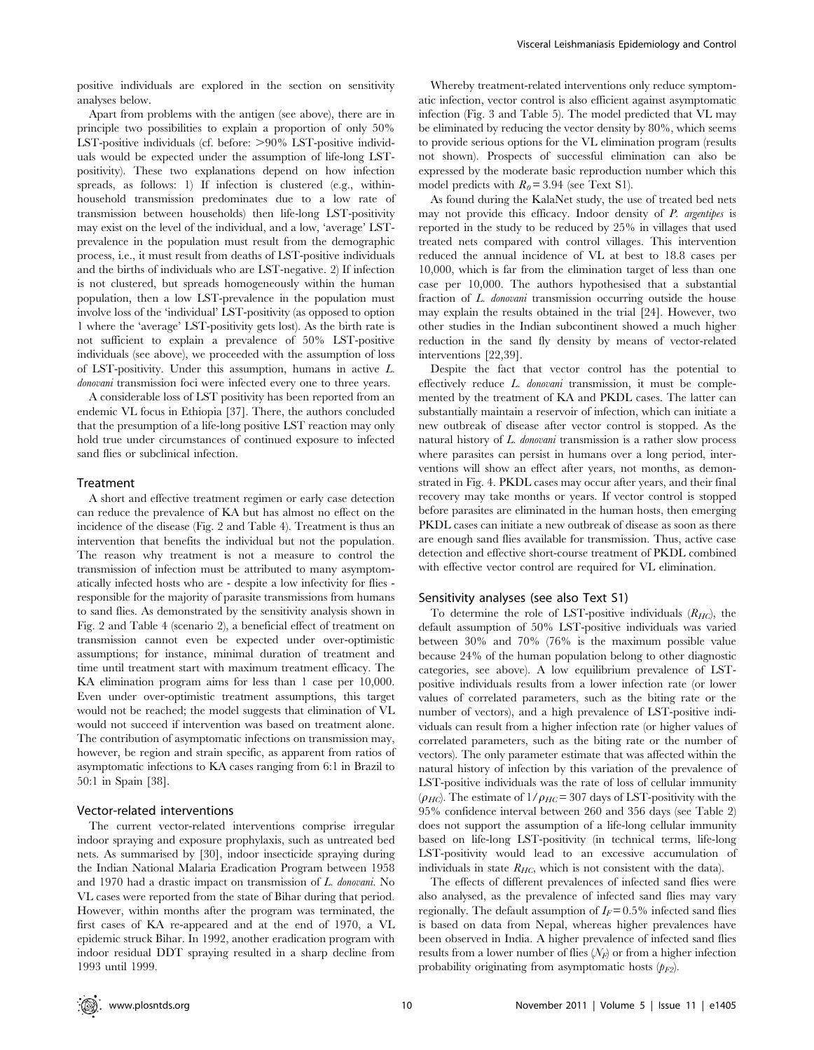positive individuals are explored in the section on sensitivity analyses below.

Apart from problems with the antigen (see above), there are in principle two possibilities to explain a proportion of only 50% LST-positive individuals (cf. before:  $>90\%$  LST-positive individuals would be expected under the assumption of life-long LSTpositivity). These two explanations depend on how infection spreads, as follows: 1) If infection is clustered (e.g., withinhousehold transmission predominates due to a low rate of transmission between households) then life-long LST-positivity may exist on the level of the individual, and a low, 'average' LSTprevalence in the population must result from the demographic process, i.e., it must result from deaths of LST-positive individuals and the births of individuals who are LST-negative. 2) If infection is not clustered, but spreads homogeneously within the human population, then a low LST-prevalence in the population must involve loss of the 'individual' LST-positivity (as opposed to option 1 where the 'average' LST-positivity gets lost). As the birth rate is not sufficient to explain a prevalence of 50% LST-positive individuals (see above), we proceeded with the assumption of loss of LST-positivity. Under this assumption, humans in active L. donovani transmission foci were infected every one to three years.

A considerable loss of LST positivity has been reported from an endemic VL focus in Ethiopia [37]. There, the authors concluded that the presumption of a life-long positive LST reaction may only hold true under circumstances of continued exposure to infected sand flies or subclinical infection.

#### Treatment

A short and effective treatment regimen or early case detection can reduce the prevalence of KA but has almost no effect on the incidence of the disease (Fig. 2 and Table 4). Treatment is thus an intervention that benefits the individual but not the population. The reason why treatment is not a measure to control the transmission of infection must be attributed to many asymptomatically infected hosts who are - despite a low infectivity for flies responsible for the majority of parasite transmissions from humans to sand flies. As demonstrated by the sensitivity analysis shown in Fig. 2 and Table 4 (scenario 2), a beneficial effect of treatment on transmission cannot even be expected under over-optimistic assumptions; for instance, minimal duration of treatment and time until treatment start with maximum treatment efficacy. The KA elimination program aims for less than 1 case per 10,000. Even under over-optimistic treatment assumptions, this target would not be reached; the model suggests that elimination of VL would not succeed if intervention was based on treatment alone. The contribution of asymptomatic infections on transmission may, however, be region and strain specific, as apparent from ratios of asymptomatic infections to KA cases ranging from 6:1 in Brazil to 50:1 in Spain [38].

#### Vector-related interventions

The current vector-related interventions comprise irregular indoor spraying and exposure prophylaxis, such as untreated bed nets. As summarised by [30], indoor insecticide spraying during the Indian National Malaria Eradication Program between 1958 and 1970 had a drastic impact on transmission of L. donovani. No VL cases were reported from the state of Bihar during that period. However, within months after the program was terminated, the first cases of KA re-appeared and at the end of 1970, a VL epidemic struck Bihar. In 1992, another eradication program with indoor residual DDT spraying resulted in a sharp decline from 1993 until 1999.

Whereby treatment-related interventions only reduce symptomatic infection, vector control is also efficient against asymptomatic infection (Fig. 3 and Table 5). The model predicted that VL may be eliminated by reducing the vector density by 80%, which seems to provide serious options for the VL elimination program (results not shown). Prospects of successful elimination can also be expressed by the moderate basic reproduction number which this model predicts with  $R_0 = 3.94$  (see Text S1).

As found during the KalaNet study, the use of treated bed nets may not provide this efficacy. Indoor density of P. argentipes is reported in the study to be reduced by 25% in villages that used treated nets compared with control villages. This intervention reduced the annual incidence of VL at best to 18.8 cases per 10,000, which is far from the elimination target of less than one case per 10,000. The authors hypothesised that a substantial fraction of L. donovani transmission occurring outside the house may explain the results obtained in the trial [24]. However, two other studies in the Indian subcontinent showed a much higher reduction in the sand fly density by means of vector-related interventions [22,39].

Despite the fact that vector control has the potential to effectively reduce L. donovani transmission, it must be complemented by the treatment of KA and PKDL cases. The latter can substantially maintain a reservoir of infection, which can initiate a new outbreak of disease after vector control is stopped. As the natural history of L. donovani transmission is a rather slow process where parasites can persist in humans over a long period, interventions will show an effect after years, not months, as demonstrated in Fig. 4. PKDL cases may occur after years, and their final recovery may take months or years. If vector control is stopped before parasites are eliminated in the human hosts, then emerging PKDL cases can initiate a new outbreak of disease as soon as there are enough sand flies available for transmission. Thus, active case detection and effective short-course treatment of PKDL combined with effective vector control are required for VL elimination.

#### Sensitivity analyses (see also Text S1)

To determine the role of LST-positive individuals  $(R_{HC})$ , the default assumption of 50% LST-positive individuals was varied between 30% and 70% (76% is the maximum possible value because 24% of the human population belong to other diagnostic categories, see above). A low equilibrium prevalence of LSTpositive individuals results from a lower infection rate (or lower values of correlated parameters, such as the biting rate or the number of vectors), and a high prevalence of LST-positive individuals can result from a higher infection rate (or higher values of correlated parameters, such as the biting rate or the number of vectors). The only parameter estimate that was affected within the natural history of infection by this variation of the prevalence of LST-positive individuals was the rate of loss of cellular immunity ( $\rho_{HC}$ ). The estimate of  $1/\rho_{HC}= 307$  days of LST-positivity with the 95% confidence interval between 260 and 356 days (see Table 2) does not support the assumption of a life-long cellular immunity based on life-long LST-positivity (in technical terms, life-long LST-positivity would lead to an excessive accumulation of individuals in state  $R_{HC}$ , which is not consistent with the data).

The effects of different prevalences of infected sand flies were also analysed, as the prevalence of infected sand flies may vary regionally. The default assumption of  $I_F$  = 0.5% infected sand flies is based on data from Nepal, whereas higher prevalences have been observed in India. A higher prevalence of infected sand flies results from a lower number of flies  $(N_F)$  or from a higher infection probability originating from asymptomatic hosts  $(p_{F2})$ .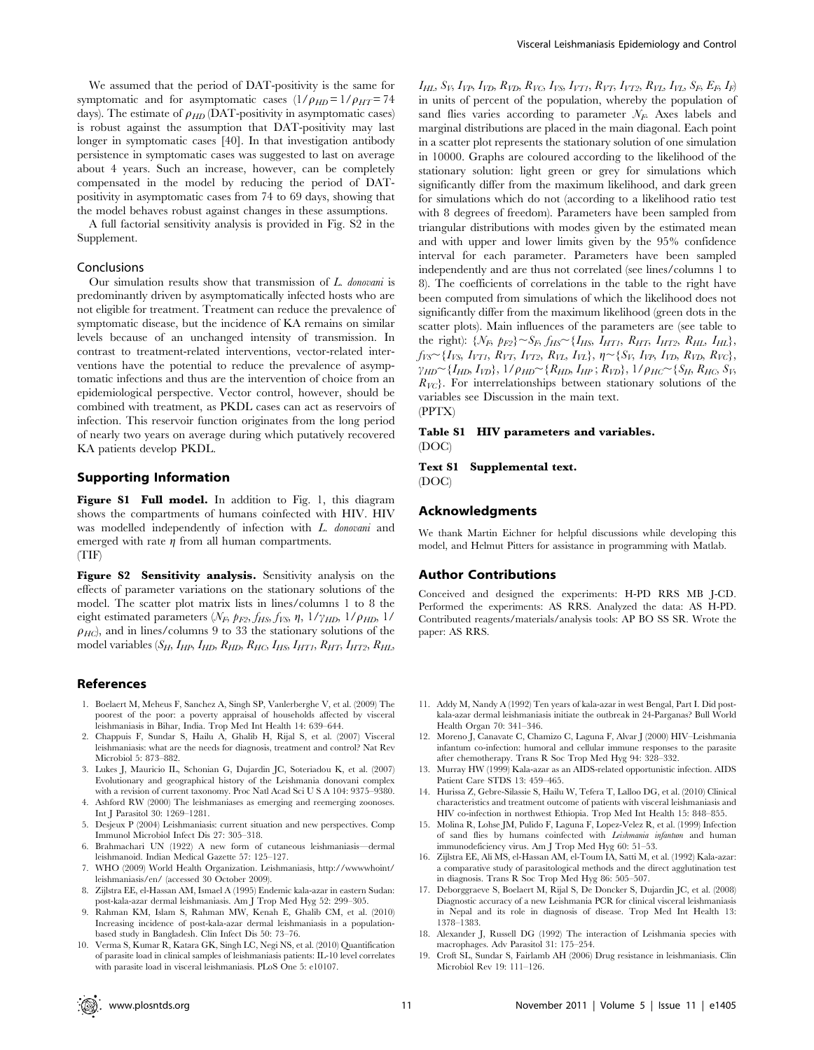We assumed that the period of DAT-positivity is the same for symptomatic and for asymptomatic cases  $(1/\rho_{HD} = 1/\rho_{HT} = 74$ days). The estimate of  $\rho_{HD}$  (DAT-positivity in asymptomatic cases) is robust against the assumption that DAT-positivity may last longer in symptomatic cases [40]. In that investigation antibody persistence in symptomatic cases was suggested to last on average about 4 years. Such an increase, however, can be completely compensated in the model by reducing the period of DATpositivity in asymptomatic cases from 74 to 69 days, showing that the model behaves robust against changes in these assumptions.

A full factorial sensitivity analysis is provided in Fig. S2 in the Supplement.

# Conclusions

Our simulation results show that transmission of  $L$  *donovani* is predominantly driven by asymptomatically infected hosts who are not eligible for treatment. Treatment can reduce the prevalence of symptomatic disease, but the incidence of KA remains on similar levels because of an unchanged intensity of transmission. In contrast to treatment-related interventions, vector-related interventions have the potential to reduce the prevalence of asymptomatic infections and thus are the intervention of choice from an epidemiological perspective. Vector control, however, should be combined with treatment, as PKDL cases can act as reservoirs of infection. This reservoir function originates from the long period of nearly two years on average during which putatively recovered KA patients develop PKDL.

#### Supporting Information

Figure S1 Full model. In addition to Fig. 1, this diagram shows the compartments of humans coinfected with HIV. HIV was modelled independently of infection with L. donovani and emerged with rate  $\eta$  from all human compartments. (TIF)

Figure S2 Sensitivity analysis. Sensitivity analysis on the effects of parameter variations on the stationary solutions of the model. The scatter plot matrix lists in lines/columns 1 to 8 the eight estimated parameters  $(N_F, p_{F2}, f_{HS}, f_{VS}, \eta, 1/\gamma_{HD}, 1/\rho_{HD}, 1/\rho_{HD})$  $\rho_{HC}$ ), and in lines/columns 9 to 33 the stationary solutions of the model variables  $(S_H, I_{HP}, I_{HD}, R_{HD}, R_{HC}, I_{HS}, I_{HT1}, R_{HT}, I_{HT2}, R_{HL},$ 

# References

- 1. Boelaert M, Meheus F, Sanchez A, Singh SP, Vanlerberghe V, et al. (2009) The poorest of the poor: a poverty appraisal of households affected by visceral leishmaniasis in Bihar, India. Trop Med Int Health 14: 639–644.
- 2. Chappuis F, Sundar S, Hailu A, Ghalib H, Rijal S, et al. (2007) Visceral leishmaniasis: what are the needs for diagnosis, treatment and control? Nat Rev Microbiol 5: 873–882.
- 3. Lukes J, Mauricio IL, Schonian G, Dujardin JC, Soteriadou K, et al. (2007) Evolutionary and geographical history of the Leishmania donovani complex with a revision of current taxonomy. Proc Natl Acad Sci U S A 104: 9375–9380.
- 4. Ashford RW (2000) The leishmaniases as emerging and reemerging zoonoses. Int J Parasitol 30: 1269–1281.
- 5. Desjeux P (2004) Leishmaniasis: current situation and new perspectives. Comp Immunol Microbiol Infect Dis 27: 305–318.
- 6. Brahmachari UN (1922) A new form of cutaneous leishmaniasis—dermal leishmanoid. Indian Medical Gazette 57: 125–127.
- 7. WHO (2009) World Health Organization. Leishmaniasis, http://wwwwhoint/ leishmaniasis/en/ (accessed 30 October 2009).
- 8. Zijlstra EE, el-Hassan AM, Ismael A (1995) Endemic kala-azar in eastern Sudan: post-kala-azar dermal leishmaniasis. Am J Trop Med Hyg 52: 299–305.
- 9. Rahman KM, Islam S, Rahman MW, Kenah E, Ghalib CM, et al. (2010) Increasing incidence of post-kala-azar dermal leishmaniasis in a populationbased study in Bangladesh. Clin Infect Dis 50: 73–76.
- 10. Verma S, Kumar R, Katara GK, Singh LC, Negi NS, et al. (2010) Quantification of parasite load in clinical samples of leishmaniasis patients: IL-10 level correlates with parasite load in visceral leishmaniasis. PLoS One 5: e10107.

 $I_{HL}$ ,  $S_V$ ,  $I_{VP}$ ,  $I_{VD}$ ,  $R_{VD}$ ,  $R_{VC}$ ,  $I_{VS}$ ,  $I_{VT1}$ ,  $R_{VT}$ ,  $I_{VT2}$ ,  $R_{VL}$ ,  $I_{VL}$ ,  $S_F$ ,  $E_F$ ,  $I_F$ ) in units of percent of the population, whereby the population of sand flies varies according to parameter  $N_F$ . Axes labels and marginal distributions are placed in the main diagonal. Each point in a scatter plot represents the stationary solution of one simulation in 10000. Graphs are coloured according to the likelihood of the stationary solution: light green or grey for simulations which significantly differ from the maximum likelihood, and dark green for simulations which do not (according to a likelihood ratio test with 8 degrees of freedom). Parameters have been sampled from triangular distributions with modes given by the estimated mean and with upper and lower limits given by the 95% confidence interval for each parameter. Parameters have been sampled independently and are thus not correlated (see lines/columns 1 to 8). The coefficients of correlations in the table to the right have been computed from simulations of which the likelihood does not significantly differ from the maximum likelihood (green dots in the scatter plots). Main influences of the parameters are (see table to the right):  $\{N_F, p_{F2}\} \sim S_F, f_{HS} \sim \{I_{HS}, I_{HT1}, R_{HT}, I_{HT2}, R_{HL}, I_{HL}\},$  $f_{VS} \sim \{I_{VS}, I_{VT1}, R_{VT}, I_{VT2}, R_{VL}, I_{VL}\}, \eta \sim \{S_V, I_{VP}, I_{VD}, R_{VD}, R_{VC}\},$  $\gamma_{HD} \sim \{I_{HD}, I_{VD}\}, 1/\rho_{HD} \sim \{R_{HD}, I_{HP}; R_{VD}\}, 1/\rho_{HC} \sim \{S_H, R_{HC}, S_V,$  $R_{VC}$ . For interrelationships between stationary solutions of the variables see Discussion in the main text. (PPTX)

#### Table S1 HIV parameters and variables. (DOC)

Text S1 Supplemental text.

(DOC)

#### Acknowledgments

We thank Martin Eichner for helpful discussions while developing this model, and Helmut Pitters for assistance in programming with Matlab.

#### Author Contributions

Conceived and designed the experiments: H-PD RRS MB J-CD. Performed the experiments: AS RRS. Analyzed the data: AS H-PD. Contributed reagents/materials/analysis tools: AP BO SS SR. Wrote the paper: AS RRS.

- 11. Addy M, Nandy A (1992) Ten years of kala-azar in west Bengal, Part I. Did postkala-azar dermal leishmaniasis initiate the outbreak in 24-Parganas? Bull World Health Organ 70: 341–346.
- 12. Moreno J, Canavate C, Chamizo C, Laguna F, Alvar J (2000) HIV–Leishmania infantum co-infection: humoral and cellular immune responses to the parasite after chemotherapy. Trans R Soc Trop Med Hyg 94: 328–332.
- 13. Murray HW (1999) Kala-azar as an AIDS-related opportunistic infection. AIDS Patient Care STDS 13: 459–465.
- 14. Hurissa Z, Gebre-Silassie S, Hailu W, Tefera T, Lalloo DG, et al. (2010) Clinical characteristics and treatment outcome of patients with visceral leishmaniasis and HIV co-infection in northwest Ethiopia. Trop Med Int Health 15: 848–855.
- 15. Molina R, Lohse JM, Pulido F, Laguna F, Lopez-Velez R, et al. (1999) Infection of sand flies by humans coinfected with Leishmania infantum and human immunodeficiency virus. Am J Trop Med Hyg 60: 51–53.
- 16. Zijlstra EE, Ali MS, el-Hassan AM, el-Toum IA, Satti M, et al. (1992) Kala-azar: a comparative study of parasitological methods and the direct agglutination test in diagnosis. Trans R Soc Trop Med Hyg 86: 505–507.
- 17. Deborggraeve S, Boelaert M, Rijal S, De Doncker S, Dujardin JC, et al. (2008) Diagnostic accuracy of a new Leishmania PCR for clinical visceral leishmaniasis in Nepal and its role in diagnosis of disease. Trop Med Int Health 13: 1378–1383.
- 18. Alexander J, Russell DG (1992) The interaction of Leishmania species with macrophages. Adv Parasitol 31: 175–254.
- 19. Croft SL, Sundar S, Fairlamb AH (2006) Drug resistance in leishmaniasis. Clin Microbiol Rev 19: 111–126.